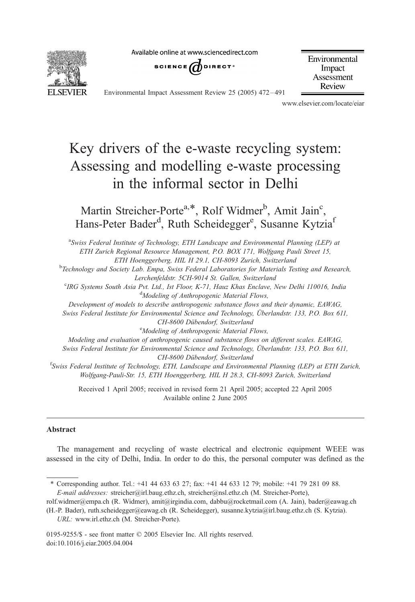Available online at www.sciencedirect.com



SCIENCE  $\bigcap$  DIRECT<sup>\*</sup>

Environmental Impact Assessment Review

Environmental Impact Assessment Review 25 (2005) 472 – 491

www.elsevier.com/locate/eiar

# Key drivers of the e-waste recycling system: Assessing and modelling e-waste processing in the informal sector in Delhi

Martin Streicher-Porte<sup>a,\*</sup>, Rolf Widmer<sup>b</sup>, Amit Jain<sup>c</sup>, Hans-Peter Bader<sup>d</sup>, Ruth Scheidegger<sup>e</sup>, Susanne Kytzia<sup>f</sup>

<sup>a</sup>Swiss Federal Institute of Technology, ETH Landscape and Environmental Planning (LEP) at ETH Zurich Regional Resource Management, P.O. BOX 171, Wolfgang Pauli Street 15,

ETH Hoenggerberg, HIL H 29.1, CH-8093 Zurich, Switzerland <sup>b</sup>

<sup>b</sup>Technology and Society Lab. Empa, Swiss Federal Laboratories for Materials Testing and Research, Lerchenfeldstr. 5CH-9014 St. Gallen, Switzerland

<sup>c</sup>IRG Systems South Asia Pvt. Ltd., Ist Floor, K-71, Hauz Khas Enclave, New Delhi 110016, India<br><sup>d</sup>Modeling of Anthropoganic Material Flows <sup>d</sup>Modeling of Anthropogenic Material Flows,

Development of models to describe anthropogenic substance flows and their dynamic, EAWAG,

Swiss Federal Institute for Environmental Science and Technology, Überlandstr. 133, P.O. Box 611, CH-8600 Dübendorf, Switzerland

<sup>e</sup>Modeling of Anthropogenic Material Flows,

Modeling and evaluation of anthropogenic caused substance flows on different scales. EAWAG,

Swiss Federal Institute for Environmental Science and Technology, Überlandstr. 133, P.O. Box 611,

CH-8600 Dübendorf, Switzerland<br><sup>f</sup>Swiss Federal Institute of Technology, ETH, Landscape and Environmental Planning (LEP) at ETH Zurich, Wolfgang-Pauli-Str. 15, ETH Hoenggerberg, HIL H 28.3, CH-8093 Zurich, Switzerland

Received 1 April 2005; received in revised form 21 April 2005; accepted 22 April 2005 Available online 2 June 2005

# Abstract

The management and recycling of waste electrical and electronic equipment WEEE was assessed in the city of Delhi, India. In order to do this, the personal computer was defined as the

(H.-P. Bader), ruth.scheidegger@eawag.ch (R. Scheidegger), susanne.kytzia@irl.baug.ethz.ch (S. Kytzia). URL: www.irl.ethz.ch (M. Streicher-Porte).

0195-9255/\$ - see front matter © 2005 Elsevier Inc. All rights reserved. doi:10.1016/j.eiar.2005.04.004

<sup>\*</sup> Corresponding author. Tel.: +41 44 633 63 27; fax: +41 44 633 12 79; mobile: +41 79 281 09 88. E-mail addresses: streicher@irl.baug.ethz.ch, streicher@nsl.ethz.ch (M. Streicher-Porte),

rolf.widmer@empa.ch (R. Widmer), amit@irgindia.com, dabbu@rocketmail.com (A. Jain), bader@eawag.ch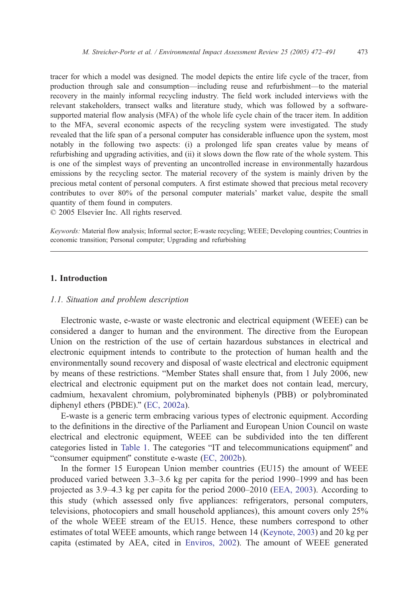tracer for which a model was designed. The model depicts the entire life cycle of the tracer, from production through sale and consumption—including reuse and refurbishment—to the material recovery in the mainly informal recycling industry. The field work included interviews with the relevant stakeholders, transect walks and literature study, which was followed by a softwaresupported material flow analysis (MFA) of the whole life cycle chain of the tracer item. In addition to the MFA, several economic aspects of the recycling system were investigated. The study revealed that the life span of a personal computer has considerable influence upon the system, most notably in the following two aspects: (i) a prolonged life span creates value by means of refurbishing and upgrading activities, and (ii) it slows down the flow rate of the whole system. This is one of the simplest ways of preventing an uncontrolled increase in environmentally hazardous emissions by the recycling sector. The material recovery of the system is mainly driven by the precious metal content of personal computers. A first estimate showed that precious metal recovery contributes to over 80% of the personal computer materials' market value, despite the small quantity of them found in computers.

 $\odot$  2005 Elsevier Inc. All rights reserved.

Keywords: Material flow analysis; Informal sector; E-waste recycling; WEEE; Developing countries; Countries in economic transition; Personal computer; Upgrading and refurbishing

# 1. Introduction

## 1.1. Situation and problem description

Electronic waste, e-waste or waste electronic and electrical equipment (WEEE) can be considered a danger to human and the environment. The directive from the European Union on the restriction of the use of certain hazardous substances in electrical and electronic equipment intends to contribute to the protection of human health and the environmentally sound recovery and disposal of waste electrical and electronic equipment by means of these restrictions. "Member States shall ensure that, from 1 July 2006, new electrical and electronic equipment put on the market does not contain lead, mercury, cadmium, hexavalent chromium, polybrominated biphenyls (PBB) or polybrominated diphenyl ethers (PBDE)."  $(EC, 2002a)$  $(EC, 2002a)$ .

E-waste is a generic term embracing various types of electronic equipment. According to the definitions in the directive of the Parliament and European Union Council on waste electrical and electronic equipment, WEEE can be subdivided into the ten different categories listed in [Table 1.](#page-2-0) The categories "IT and telecommunications equipment" and "consumer equipment" constitute e-waste ([EC, 2002b\)](#page-16-0).

In the former 15 European Union member countries (EU15) the amount of WEEE produced varied between 3.3–3.6 kg per capita for the period 1990–1999 and has been projected as 3.9–4.3 kg per capita for the period 2000–2010 ([EEA, 2003\)](#page-16-0). According to this study (which assessed only five appliances: refrigerators, personal computers, televisions, photocopiers and small household appliances), this amount covers only 25% of the whole WEEE stream of the EU15. Hence, these numbers correspond to other estimates of total WEEE amounts, which range between 14 ([Keynote, 2003\)](#page-17-0) and 20 kg per capita (estimated by AEA, cited in [Enviros, 2002\)](#page-16-0). The amount of WEEE generated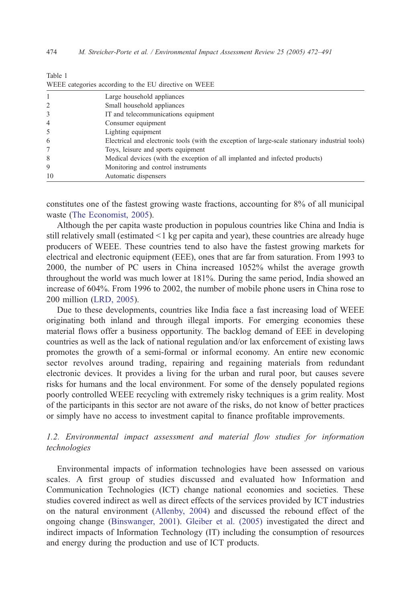|                | Large household appliances                                                                      |
|----------------|-------------------------------------------------------------------------------------------------|
| 2              | Small household appliances                                                                      |
| 3              | IT and telecommunications equipment                                                             |
| $\overline{4}$ | Consumer equipment                                                                              |
| 5              | Lighting equipment                                                                              |
| 6              | Electrical and electronic tools (with the exception of large-scale stationary industrial tools) |
| 7              | Toys, leisure and sports equipment                                                              |
| 8              | Medical devices (with the exception of all implanted and infected products)                     |
| 9              | Monitoring and control instruments                                                              |
| 10             | Automatic dispensers                                                                            |

WEEE categories according to the EU directive on WEEE

<span id="page-2-0"></span>Table 1

constitutes one of the fastest growing waste fractions, accounting for 8% of all municipal waste ([The Economist, 2005\)](#page-17-0).

Although the per capita waste production in populous countries like China and India is still relatively small (estimated  $\leq 1$  kg per capita and year), these countries are already huge producers of WEEE. These countries tend to also have the fastest growing markets for electrical and electronic equipment (EEE), ones that are far from saturation. From 1993 to 2000, the number of PC users in China increased 1052% whilst the average growth throughout the world was much lower at 181%. During the same period, India showed an increase of 604%. From 1996 to 2002, the number of mobile phone users in China rose to 200 million ([LRD, 2005\)](#page-17-0).

Due to these developments, countries like India face a fast increasing load of WEEE originating both inland and through illegal imports. For emerging economies these material flows offer a business opportunity. The backlog demand of EEE in developing countries as well as the lack of national regulation and/or lax enforcement of existing laws promotes the growth of a semi-formal or informal economy. An entire new economic sector revolves around trading, repairing and regaining materials from redundant electronic devices. It provides a living for the urban and rural poor, but causes severe risks for humans and the local environment. For some of the densely populated regions poorly controlled WEEE recycling with extremely risky techniques is a grim reality. Most of the participants in this sector are not aware of the risks, do not know of better practices or simply have no access to investment capital to finance profitable improvements.

# 1.2. Environmental impact assessment and material flow studies for information technologies

Environmental impacts of information technologies have been assessed on various scales. A first group of studies discussed and evaluated how Information and Communication Technologies (ICT) change national economies and societies. These studies covered indirect as well as direct effects of the services provided by ICT industries on the natural environment ([Allenby, 2004\)](#page-15-0) and discussed the rebound effect of the ongoing change ([Binswanger, 2001\)](#page-16-0). [Gleiber et al. \(2005\)](#page-16-0) investigated the direct and indirect impacts of Information Technology (IT) including the consumption of resources and energy during the production and use of ICT products.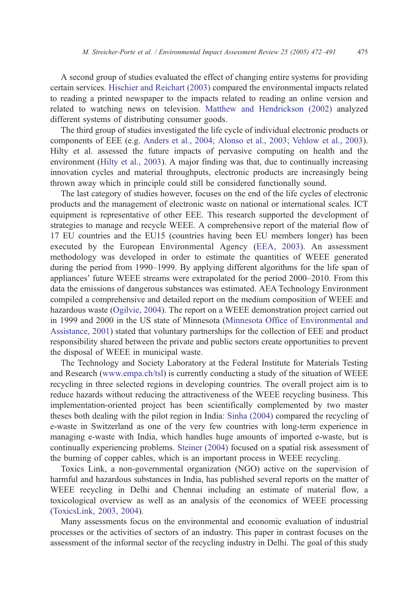A second group of studies evaluated the effect of changing entire systems for providing certain services. [Hischier and Reichart \(2003\)](#page-16-0) compared the environmental impacts related to reading a printed newspaper to the impacts related to reading an online version and related to watching news on television. [Matthew and Hendrickson \(2002\)](#page-17-0) analyzed different systems of distributing consumer goods.

The third group of studies investigated the life cycle of individual electronic products or components of EEE (e.g. [Anders et al., 2004; Alonso et al., 2003; Vehlow et al., 2003\)](#page-15-0). Hilty et al. assessed the future impacts of pervasive computing on health and the environment ([Hilty et al., 2003\)](#page-16-0). A major finding was that, due to continually increasing innovation cycles and material throughputs, electronic products are increasingly being thrown away which in principle could still be considered functionally sound.

The last category of studies however, focuses on the end of the life cycles of electronic products and the management of electronic waste on national or international scales. ICT equipment is representative of other EEE. This research supported the development of strategies to manage and recycle WEEE. A comprehensive report of the material flow of 17 EU countries and the EU15 (countries having been EU members longer) has been executed by the European Environmental Agency ([EEA, 2003\)](#page-16-0). An assessment methodology was developed in order to estimate the quantities of WEEE generated during the period from 1990–1999. By applying different algorithms for the life span of appliances' future WEEE streams were extrapolated for the period 2000–2010. From this data the emissions of dangerous substances was estimated. AEA Technology Environment compiled a comprehensive and detailed report on the medium composition of WEEE and hazardous waste ([Ogilvie, 2004\)](#page-17-0). The report on a WEEE demonstration project carried out in 1999 and 2000 in the US state of Minnesota ([Minnesota Office of Environmental and](#page-17-0) Assistance, 2001) stated that voluntary partnerships for the collection of EEE and product responsibility shared between the private and public sectors create opportunities to prevent the disposal of WEEE in municipal waste.

The Technology and Society Laboratory at the Federal Institute for Materials Testing and Research ([www.empa.ch/tsl\)](http:www.empa.ch/tsl) is currently conducting a study of the situation of WEEE recycling in three selected regions in developing countries. The overall project aim is to reduce hazards without reducing the attractiveness of the WEEE recycling business. This implementation-oriented project has been scientifically complemented by two master theses both dealing with the pilot region in India: [Sinha \(2004\)](#page-17-0) compared the recycling of e-waste in Switzerland as one of the very few countries with long-term experience in managing e-waste with India, which handles huge amounts of imported e-waste, but is continually experiencing problems. [Steiner \(2004\)](#page-17-0) focused on a spatial risk assessment of the burning of copper cables, which is an important process in WEEE recycling.

Toxics Link, a non-governmental organization (NGO) active on the supervision of harmful and hazardous substances in India, has published several reports on the matter of WEEE recycling in Delhi and Chennai including an estimate of material flow, a toxicological overview as well as an analysis of the economics of WEEE processing ([ToxicsLink, 2003, 2004\)](#page-17-0).

Many assessments focus on the environmental and economic evaluation of industrial processes or the activities of sectors of an industry. This paper in contrast focuses on the assessment of the informal sector of the recycling industry in Delhi. The goal of this study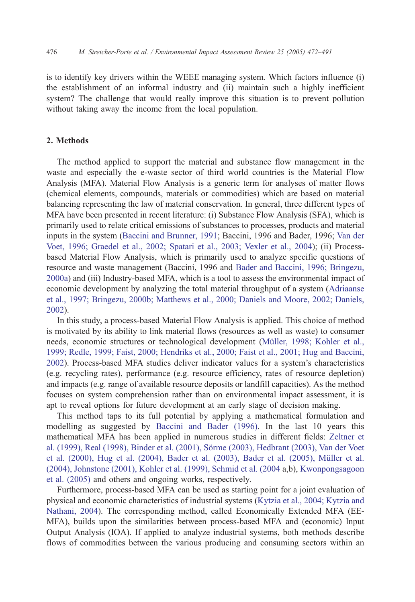is to identify key drivers within the WEEE managing system. Which factors influence (i) the establishment of an informal industry and (ii) maintain such a highly inefficient system? The challenge that would really improve this situation is to prevent pollution without taking away the income from the local population.

## 2. Methods

The method applied to support the material and substance flow management in the waste and especially the e-waste sector of third world countries is the Material Flow Analysis (MFA). Material Flow Analysis is a generic term for analyses of matter flows (chemical elements, compounds, materials or commodities) which are based on material balancing representing the law of material conservation. In general, three different types of MFA have been presented in recent literature: (i) Substance Flow Analysis (SFA), which is primarily used to relate critical emissions of substances to processes, products and material inputs in the system ([Baccini and Brunner, 1991;](#page-15-0) Baccini, 1996 and Bader, 1996; [Van der](#page-18-0) Voet, 1996; Graedel et al., 2002; Spatari et al., 2003; Vexler et al., 2004); (ii) Processbased Material Flow Analysis, which is primarily used to analyze specific questions of resource and waste management (Baccini, 1996 and [Bader and Baccini, 1996; Bringezu,](#page-15-0) 2000a) and (iii) Industry-based MFA, which is a tool to assess the environmental impact of economic development by analyzing the total material throughput of a system ([Adriaanse](#page-15-0) et al., 1997; Bringezu, 2000b; Matthews et al., 2000; Daniels and Moore, 2002; Daniels, 2002).

In this study, a process-based Material Flow Analysis is applied. This choice of method is motivated by its ability to link material flows (resources as well as waste) to consumer needs, economic structures or technological development (Müller, 1998; Kohler et al., 1999; Redle, 1999; Faist, 2000; Hendriks et al., 2000; Faist et al., 2001; Hug and Baccini, 2002). Process-based MFA studies deliver indicator values for a system's characteristics (e.g. recycling rates), performance (e.g. resource efficiency, rates of resource depletion) and impacts (e.g. range of available resource deposits or landfill capacities). As the method focuses on system comprehension rather than on environmental impact assessment, it is apt to reveal options for future development at an early stage of decision making.

This method taps to its full potential by applying a mathematical formulation and modelling as suggested by [Baccini and Bader \(1996\).](#page-15-0) In the last 10 years this mathematical MFA has been applied in numerous studies in different fields: [Zeltner et](#page-18-0) al. (1999), Real (1998), Binder et al. (2001), Sörme (2003), Hedbrant (2003), Van der Voet et al. (2000), Hug et al. (2004), Bader et al. (2003), Bader et al. (2005), Müller et al. (2004), Johnstone (2001), Kohler et al. (1999), Schmid et al. (2004 a,b), [Kwonpongsagoon](#page-17-0) et al. (2005) and others and ongoing works, respectively.

Furthermore, process-based MFA can be used as starting point for a joint evaluation of physical and economic characteristics of industrial systems ([Kytzia et al., 2004; Kytzia and](#page-17-0) Nathani, 2004). The corresponding method, called Economically Extended MFA (EE-MFA), builds upon the similarities between process-based MFA and (economic) Input Output Analysis (IOA). If applied to analyze industrial systems, both methods describe flows of commodities between the various producing and consuming sectors within an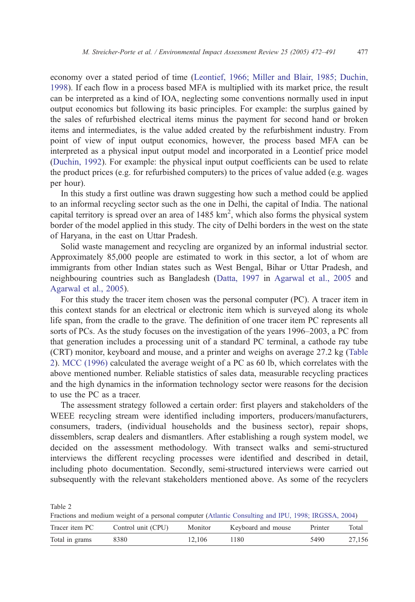economy over a stated period of time ([Leontief, 1966; Miller and Blair, 1985; Duchin,](#page-17-0) 1998). If each flow in a process based MFA is multiplied with its market price, the result can be interpreted as a kind of IOA, neglecting some conventions normally used in input output economics but following its basic principles. For example: the surplus gained by the sales of refurbished electrical items minus the payment for second hand or broken items and intermediates, is the value added created by the refurbishment industry. From point of view of input output economics, however, the process based MFA can be interpreted as a physical input output model and incorporated in a Leontief price model ([Duchin, 1992\)](#page-16-0). For example: the physical input output coefficients can be used to relate the product prices (e.g. for refurbished computers) to the prices of value added (e.g. wages per hour).

In this study a first outline was drawn suggesting how such a method could be applied to an informal recycling sector such as the one in Delhi, the capital of India. The national capital territory is spread over an area of  $1485 \text{ km}^2$ , which also forms the physical system border of the model applied in this study. The city of Delhi borders in the west on the state of Haryana, in the east on Uttar Pradesh.

Solid waste management and recycling are organized by an informal industrial sector. Approximately 85,000 people are estimated to work in this sector, a lot of whom are immigrants from other Indian states such as West Bengal, Bihar or Uttar Pradesh, and neighbouring countries such as Bangladesh ([Datta, 1997](#page-16-0) in [Agarwal et al., 2005](#page-15-0) and [Agarwal et al., 2005\)](#page-15-0).

For this study the tracer item chosen was the personal computer (PC). A tracer item in this context stands for an electrical or electronic item which is surveyed along its whole life span, from the cradle to the grave. The definition of one tracer item PC represents all sorts of PCs. As the study focuses on the investigation of the years 1996–2003, a PC from that generation includes a processing unit of a standard PC terminal, a cathode ray tube (CRT) monitor, keyboard and mouse, and a printer and weighs on average 27.2 kg (Table 2). [MCC \(1996\)](#page-17-0) calculated the average weight of a PC as 60 lb, which correlates with the above mentioned number. Reliable statistics of sales data, measurable recycling practices and the high dynamics in the information technology sector were reasons for the decision to use the PC as a tracer.

The assessment strategy followed a certain order: first players and stakeholders of the WEEE recycling stream were identified including importers, producers/manufacturers, consumers, traders, (individual households and the business sector), repair shops, dissemblers, scrap dealers and dismantlers. After establishing a rough system model, we decided on the assessment methodology. With transect walks and semi-structured interviews the different recycling processes were identified and described in detail, including photo documentation. Secondly, semi-structured interviews were carried out subsequently with the relevant stakeholders mentioned above. As some of the recyclers

Table 2

Fractions and medium weight of a personal computer ([Atlantic Consulting and IPU, 1998; IRGSSA, 2004\)](#page-15-0)

| Tracer item PC | Control unit (CPU) | Monitor | Keyboard and mouse | Printer | Total  |
|----------------|--------------------|---------|--------------------|---------|--------|
| Total in grams | 8380               | 12.106  | 180                | 5490    | 27,156 |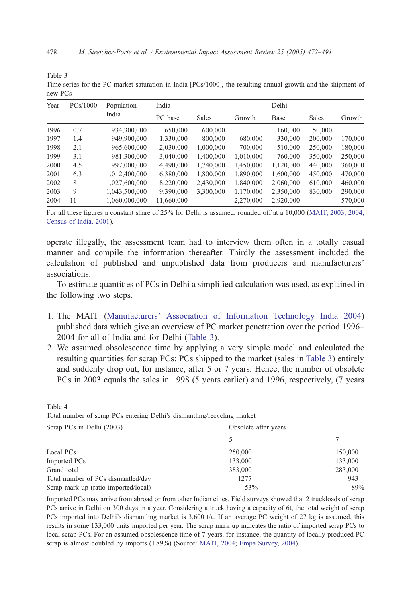<span id="page-6-0"></span>Table 3 Time series for the PC market saturation in India [PCs/1000], the resulting annual growth and the shipment of new PCs

| Year | PCs/1000 | Population    | India      |              |           | Delhi     |              |         |
|------|----------|---------------|------------|--------------|-----------|-----------|--------------|---------|
|      |          | India         | PC base    | <b>Sales</b> | Growth    | Base      | <b>Sales</b> | Growth  |
| 1996 | 0.7      | 934,300,000   | 650,000    | 600,000      |           | 160.000   | 150,000      |         |
| 1997 | 1.4      | 949,900,000   | 1.330,000  | 800,000      | 680,000   | 330,000   | 200,000      | 170,000 |
| 1998 | 2.1      | 965,600,000   | 2,030,000  | 1,000,000    | 700,000   | 510,000   | 250,000      | 180,000 |
| 1999 | 3.1      | 981.300.000   | 3,040,000  | 1.400,000    | 1.010.000 | 760,000   | 350,000      | 250,000 |
| 2000 | 4.5      | 997,000,000   | 4,490,000  | 1,740,000    | 1,450,000 | 1,120,000 | 440,000      | 360,000 |
| 2001 | 6.3      | 1,012,400,000 | 6.380,000  | 1,800,000    | 1,890,000 | 1,600,000 | 450,000      | 470,000 |
| 2002 | 8        | 1.027.600.000 | 8,220,000  | 2.430,000    | 1,840,000 | 2.060,000 | 610,000      | 460,000 |
| 2003 | 9        | 1,043,500,000 | 9,390,000  | 3,300,000    | 1,170,000 | 2,350,000 | 830,000      | 290,000 |
| 2004 | 11       | 1,060,000,000 | 11,660,000 |              | 2,270,000 | 2,920,000 |              | 570,000 |

For all these figures a constant share of 25% for Delhi is assumed, rounded off at a 10,000 ([MAIT, 2003, 2004;](#page-17-0) Census of India, 2001).

operate illegally, the assessment team had to interview them often in a totally casual manner and compile the information thereafter. Thirdly the assessment included the calculation of published and unpublished data from producers and manufacturers' associations.

To estimate quantities of PCs in Delhi a simplified calculation was used, as explained in the following two steps.

- 1. The MAIT ([Manufacturers' Association of Information Technology India 2004\)](#page-17-0) published data which give an overview of PC market penetration over the period 1996– 2004 for all of India and for Delhi (Table 3).
- 2. We assumed obsolescence time by applying a very simple model and calculated the resulting quantities for scrap PCs: PCs shipped to the market (sales in Table 3) entirely and suddenly drop out, for instance, after 5 or 7 years. Hence, the number of obsolete PCs in 2003 equals the sales in 1998 (5 years earlier) and 1996, respectively, (7 years

| Scrap PCs in Delhi (2003)            | Obsolete after years |         |
|--------------------------------------|----------------------|---------|
|                                      |                      |         |
| Local PCs                            | 250,000              | 150,000 |
| Imported PCs                         | 133,000              | 133,000 |
| Grand total                          | 383,000              | 283,000 |
| Total number of PCs dismantled/day   | 1277                 | 943     |
| Scrap mark up (ratio imported/local) | 53%                  | 89%     |

Table 4 Total number of scrap PCs entering Delhi's dismantling/recycling market

Imported PCs may arrive from abroad or from other Indian cities. Field surveys showed that 2 truckloads of scrap PCs arrive in Delhi on 300 days in a year. Considering a truck having a capacity of 6t, the total weight of scrap PCs imported into Delhi's dismantling market is 3,600  $t/a$ . If an average PC weight of 27 kg is assumed, this results in some 133,000 units imported per year. The scrap mark up indicates the ratio of imported scrap PCs to local scrap PCs. For an assumed obsolescence time of 7 years, for instance, the quantity of locally produced PC scrap is almost doubled by imports (+89%) (Source: [MAIT, 2004;](#page-17-0) [Empa Survey, 2004\)](#page-16-0).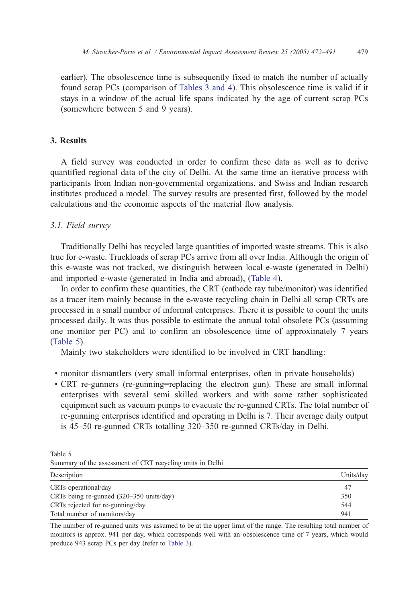<span id="page-7-0"></span>earlier). The obsolescence time is subsequently fixed to match the number of actually found scrap PCs (comparison of [Tables 3 and 4\)](#page-6-0). This obsolescence time is valid if it stays in a window of the actual life spans indicated by the age of current scrap PCs (somewhere between 5 and 9 years).

# 3. Results

A field survey was conducted in order to confirm these data as well as to derive quantified regional data of the city of Delhi. At the same time an iterative process with participants from Indian non-governmental organizations, and Swiss and Indian research institutes produced a model. The survey results are presented first, followed by the model calculations and the economic aspects of the material flow analysis.

# 3.1. Field survey

Traditionally Delhi has recycled large quantities of imported waste streams. This is also true for e-waste. Truckloads of scrap PCs arrive from all over India. Although the origin of this e-waste was not tracked, we distinguish between local e-waste (generated in Delhi) and imported e-waste (generated in India and abroad), ([Table 4\)](#page-6-0).

In order to confirm these quantities, the CRT (cathode ray tube/monitor) was identified as a tracer item mainly because in the e-waste recycling chain in Delhi all scrap CRTs are processed in a small number of informal enterprises. There it is possible to count the units processed daily. It was thus possible to estimate the annual total obsolete PCs (assuming one monitor per PC) and to confirm an obsolescence time of approximately 7 years (Table 5).

Mainly two stakeholders were identified to be involved in CRT handling:

- ! monitor dismantlers (very small informal enterprises, often in private households)
- ! CRT re-gunners (re-gunning=replacing the electron gun). These are small informal enterprises with several semi skilled workers and with some rather sophisticated equipment such as vacuum pumps to evacuate the re-gunned CRTs. The total number of re-gunning enterprises identified and operating in Delhi is 7. Their average daily output is 45–50 re-gunned CRTs totalling 320–350 re-gunned CRTs/day in Delhi.

Table 5 Summary of the assessment of CRT recycling units in Delhi

| Description                                        | Units/day |
|----------------------------------------------------|-----------|
| CRTs operational/day                               | 47        |
| CRTs being re-gunned $(320-350 \text{ units/day})$ | 350       |
| CRTs rejected for re-gunning/day                   | 544       |
| Total number of monitors/day                       | 941       |

The number of re-gunned units was assumed to be at the upper limit of the range. The resulting total number of monitors is approx. 941 per day, which corresponds well with an obsolescence time of 7 years, which would produce 943 scrap PCs per day (refer to [Table 3\)](#page-6-0).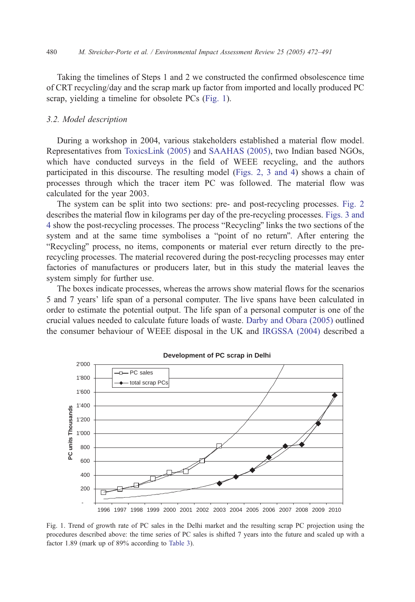Taking the timelines of Steps 1 and 2 we constructed the confirmed obsolescence time of CRT recycling/day and the scrap mark up factor from imported and locally produced PC scrap, yielding a timeline for obsolete PCs (Fig. 1).

#### 3.2. Model description

During a workshop in 2004, various stakeholders established a material flow model. Representatives from [ToxicsLink \(2005\)](#page-17-0) and [SAAHAS \(2005\),](#page-17-0) two Indian based NGOs, which have conducted surveys in the field of WEEE recycling, and the authors participated in this discourse. The resulting model ([Figs. 2, 3 and 4\)](#page-9-0) shows a chain of processes through which the tracer item PC was followed. The material flow was calculated for the year 2003.

The system can be split into two sections: pre- and post-recycling processes. [Fig. 2](#page-9-0) describes the material flow in kilograms per day of the pre-recycling processes. [Figs. 3 and](#page-10-0) 4 show the post-recycling processes. The process "Recycling" links the two sections of the system and at the same time symbolises a "point of no return". After entering the "Recycling" process, no items, components or material ever return directly to the prerecycling processes. The material recovered during the post-recycling processes may enter factories of manufactures or producers later, but in this study the material leaves the system simply for further use.

The boxes indicate processes, whereas the arrows show material flows for the scenarios 5 and 7 years' life span of a personal computer. The live spans have been calculated in order to estimate the potential output. The life span of a personal computer is one of the crucial values needed to calculate future loads of waste. [Darby and Obara \(2005\)](#page-16-0) outlined the consumer behaviour of WEEE disposal in the UK and [IRGSSA \(2004\)](#page-17-0) described a



**Development of PC scrap in Delhi** 

Fig. 1. Trend of growth rate of PC sales in the Delhi market and the resulting scrap PC projection using the procedures described above: the time series of PC sales is shifted 7 years into the future and scaled up with a factor 1.89 (mark up of 89% according to [Table 3\)](#page-6-0).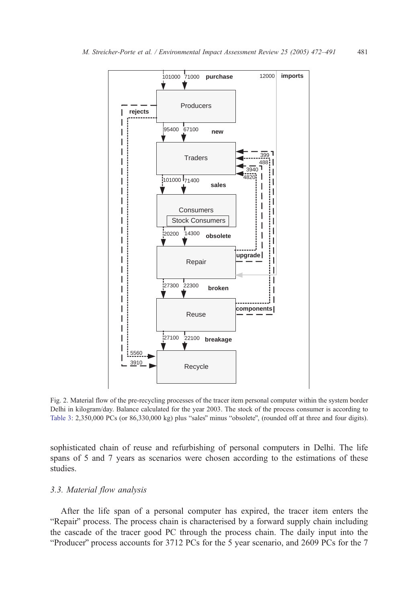<span id="page-9-0"></span>

Fig. 2. Material flow of the pre-recycling processes of the tracer item personal computer within the system border Delhi in kilogram/day. Balance calculated for the year 2003. The stock of the process consumer is according to [Table 3:](#page-6-0)  $2,350,000$  PCs (or  $86,330,000$  kg) plus "sales" minus "obsolete", (rounded off at three and four digits).

sophisticated chain of reuse and refurbishing of personal computers in Delhi. The life spans of 5 and 7 years as scenarios were chosen according to the estimations of these studies.

## 3.3. Material flow analysis

After the life span of a personal computer has expired, the tracer item enters the "Repair" process. The process chain is characterised by a forward supply chain including the cascade of the tracer good PC through the process chain. The daily input into the "Producer" process accounts for 3712 PCs for the 5 year scenario, and 2609 PCs for the 7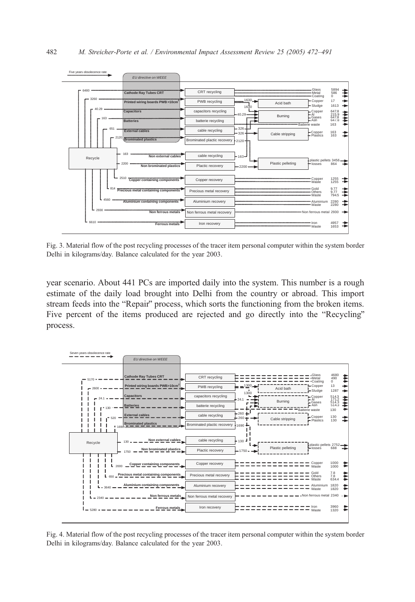<span id="page-10-0"></span>

Fig. 3. Material flow of the post recycling processes of the tracer item personal computer within the system border Delhi in kilograms/day. Balance calculated for the year 2003.

year scenario. About 441 PCs are imported daily into the system. This number is a rough estimate of the daily load brought into Delhi from the country or abroad. This import stream feeds into the "Repair" process, which sorts the functioning from the broken items. Five percent of the items produced are rejected and go directly into the "Recycling" process.



Fig. 4. Material flow of the post recycling processes of the tracer item personal computer within the system border Delhi in kilograms/day. Balance calculated for the year 2003.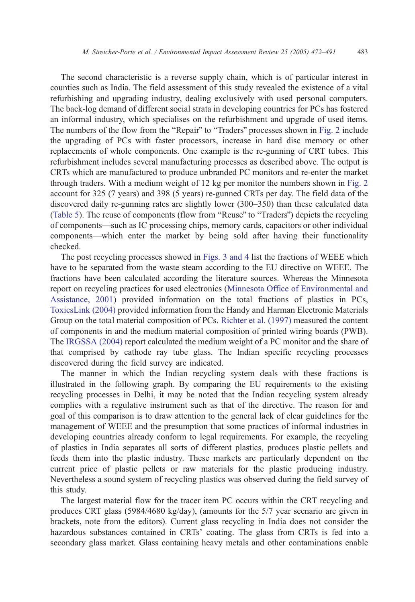The second characteristic is a reverse supply chain, which is of particular interest in counties such as India. The field assessment of this study revealed the existence of a vital refurbishing and upgrading industry, dealing exclusively with used personal computers. The back-log demand of different social strata in developing countries for PCs has fostered an informal industry, which specialises on the refurbishment and upgrade of used items. The numbers of the flow from the "Repair" to "Traders" processes shown in [Fig. 2](#page-9-0) include the upgrading of PCs with faster processors, increase in hard disc memory or other replacements of whole components. One example is the re-gunning of CRT tubes. This refurbishment includes several manufacturing processes as described above. The output is CRTs which are manufactured to produce unbranded PC monitors and re-enter the market through traders. With a medium weight of 12 kg per monitor the numbers shown in [Fig. 2](#page-9-0) account for 325 (7 years) and 398 (5 years) re-gunned CRTs per day. The field data of the discovered daily re-gunning rates are slightly lower (300–350) than these calculated data ([Table 5\)](#page-7-0). The reuse of components (flow from "Reuse" to "Traders") depicts the recycling of components—such as IC processing chips, memory cards, capacitors or other individual components—which enter the market by being sold after having their functionality checked.

The post recycling processes showed in [Figs. 3 and 4](#page-10-0) list the fractions of WEEE which have to be separated from the waste steam according to the EU directive on WEEE. The fractions have been calculated according the literature sources. Whereas the Minnesota report on recycling practices for used electronics ([Minnesota Office of Environmental and](#page-17-0) Assistance, 2001) provided information on the total fractions of plastics in PCs, [ToxicsLink \(2004\)](#page-17-0) provided information from the Handy and Harman Electronic Materials Group on the total material composition of PCs. [Richter et al. \(1997\)](#page-17-0) measured the content of components in and the medium material composition of printed wiring boards (PWB). The [IRGSSA \(2004\)](#page-17-0) report calculated the medium weight of a PC monitor and the share of that comprised by cathode ray tube glass. The Indian specific recycling processes discovered during the field survey are indicated.

The manner in which the Indian recycling system deals with these fractions is illustrated in the following graph. By comparing the EU requirements to the existing recycling processes in Delhi, it may be noted that the Indian recycling system already complies with a regulative instrument such as that of the directive. The reason for and goal of this comparison is to draw attention to the general lack of clear guidelines for the management of WEEE and the presumption that some practices of informal industries in developing countries already conform to legal requirements. For example, the recycling of plastics in India separates all sorts of different plastics, produces plastic pellets and feeds them into the plastic industry. These markets are particularly dependent on the current price of plastic pellets or raw materials for the plastic producing industry. Nevertheless a sound system of recycling plastics was observed during the field survey of this study.

The largest material flow for the tracer item PC occurs within the CRT recycling and produces CRT glass (5984/4680 kg/day), (amounts for the 5/7 year scenario are given in brackets, note from the editors). Current glass recycling in India does not consider the hazardous substances contained in CRTs' coating. The glass from CRTs is fed into a secondary glass market. Glass containing heavy metals and other contaminations enable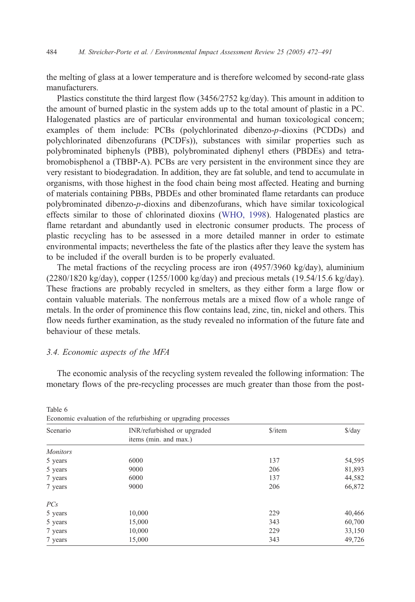<span id="page-12-0"></span>the melting of glass at a lower temperature and is therefore welcomed by second-rate glass manufacturers.

Plastics constitute the third largest flow (3456/2752 kg/day). This amount in addition to the amount of burned plastic in the system adds up to the total amount of plastic in a PC. Halogenated plastics are of particular environmental and human toxicological concern; examples of them include: PCBs (polychlorinated dibenzo-p-dioxins (PCDDs) and polychlorinated dibenzofurans (PCDFs)), substances with similar properties such as polybrominated biphenyls (PBB), polybrominated diphenyl ethers (PBDEs) and tetrabromobisphenol a (TBBP-A). PCBs are very persistent in the environment since they are very resistant to biodegradation. In addition, they are fat soluble, and tend to accumulate in organisms, with those highest in the food chain being most affected. Heating and burning of materials containing PBBs, PBDEs and other brominated flame retardants can produce polybrominated dibenzo-p-dioxins and dibenzofurans, which have similar toxicological effects similar to those of chlorinated dioxins ([WHO, 1998\)](#page-18-0). Halogenated plastics are flame retardant and abundantly used in electronic consumer products. The process of plastic recycling has to be assessed in a more detailed manner in order to estimate environmental impacts; nevertheless the fate of the plastics after they leave the system has to be included if the overall burden is to be properly evaluated.

The metal fractions of the recycling process are iron (4957/3960 kg/day), aluminium (2280/1820 kg/day), copper (1255/1000 kg/day) and precious metals (19.54/15.6 kg/day). These fractions are probably recycled in smelters, as they either form a large flow or contain valuable materials. The nonferrous metals are a mixed flow of a whole range of metals. In the order of prominence this flow contains lead, zinc, tin, nickel and others. This flow needs further examination, as the study revealed no information of the future fate and behaviour of these metals.

### 3.4. Economic aspects of the MFA

The economic analysis of the recycling system revealed the following information: The monetary flows of the pre-recycling processes are much greater than those from the post-

| Economic evaluation of the refurbishing or upgrading processes |                                                      |         |                             |  |  |
|----------------------------------------------------------------|------------------------------------------------------|---------|-----------------------------|--|--|
| Scenario                                                       | INR/refurbished or upgraded<br>items (min. and max.) | \$/item | $\frac{\text{d}}{\text{d}}$ |  |  |
| <b>Monitors</b>                                                |                                                      |         |                             |  |  |
| 5 years                                                        | 6000                                                 | 137     | 54,595                      |  |  |
| 5 years                                                        | 9000                                                 | 206     | 81,893                      |  |  |
| 7 years                                                        | 6000                                                 | 137     | 44,582                      |  |  |
| 9000<br>7 years                                                |                                                      | 206     | 66,872                      |  |  |
| PCs                                                            |                                                      |         |                             |  |  |
| 5 years                                                        | 10,000                                               | 229     | 40,466                      |  |  |
| 5 years                                                        | 15,000                                               | 343     | 60,700                      |  |  |
| 7 years                                                        | 10,000                                               | 229     | 33,150                      |  |  |
| 7 years                                                        | 15,000                                               | 343     | 49,726                      |  |  |

Table 6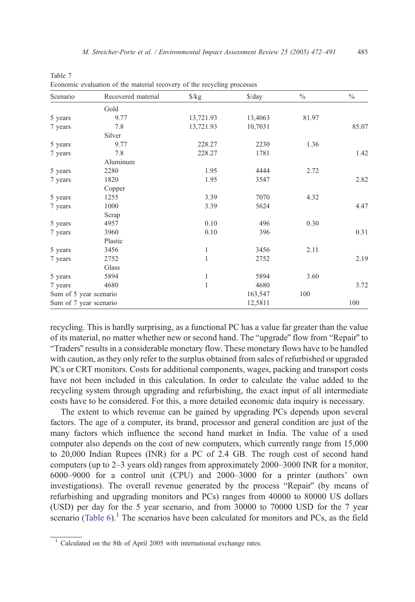| Scenario               | Recovered material | $\frac{\sqrt{2}}{2}$ | $\frac{\text{d}}{\text{d}}$ | $\frac{0}{0}$ | $\frac{0}{0}$ |
|------------------------|--------------------|----------------------|-----------------------------|---------------|---------------|
|                        | Gold               |                      |                             |               |               |
| 5 years                | 9.77               | 13,721.93            | 13,4063                     | 81.97         |               |
| 7 years                | 7.8                | 13,721.93            | 10,7031                     |               | 85.07         |
|                        | Silver             |                      |                             |               |               |
| 5 years                | 9.77               | 228.27               | 2230                        | 1.36          |               |
| 7 years                | 7.8                | 228.27               | 1781                        |               | 1.42          |
|                        | Aluminum           |                      |                             |               |               |
| 5 years                | 2280               | 1.95                 | 4444                        | 2.72          |               |
| 7 years                | 1820               | 1.95                 | 3547                        |               | 2.82          |
|                        | Copper             |                      |                             |               |               |
| 5 years                | 1255               | 3.39                 | 7070                        | 4.32          |               |
| 7 years                | 1000               | 3.39                 | 5624                        |               | 4.47          |
|                        | Scrap              |                      |                             |               |               |
| 5 years                | 4957               | 0.10                 | 496                         | 0.30          |               |
| 7 years                | 3960               | 0.10                 | 396                         |               | 0.31          |
|                        | Plastic            |                      |                             |               |               |
| 5 years                | 3456               | 1                    | 3456                        | 2.11          |               |
| 7 years                | 2752               | 1                    | 2752                        |               | 2.19          |
|                        | Glass              |                      |                             |               |               |
| 5 years                | 5894               | 1                    | 5894                        | 3.60          |               |
| 7 years                | 4680               | 1                    | 4680                        |               | 3.72          |
| Sum of 5 year scenario |                    |                      | 163,547                     | 100           |               |
| Sum of 7 year scenario |                    |                      | 12,5811                     |               | 100           |

<span id="page-13-0"></span>Table 7 Economic evaluation of the material recovery of the recycling processes

recycling. This is hardly surprising, as a functional PC has a value far greater than the value of its material, no matter whether new or second hand. The "upgrade" flow from "Repair" to "Traders" results in a considerable monetary flow. These monetary flows have to be handled with caution, as they only refer to the surplus obtained from sales of refurbished or upgraded PCs or CRT monitors. Costs for additional components, wages, packing and transport costs have not been included in this calculation. In order to calculate the value added to the recycling system through upgrading and refurbishing, the exact input of all intermediate costs have to be considered. For this, a more detailed economic data inquiry is necessary.

The extent to which revenue can be gained by upgrading PCs depends upon several factors. The age of a computer, its brand, processor and general condition are just of the many factors which influence the second hand market in India. The value of a used computer also depends on the cost of new computers, which currently range from 15,000 to 20,000 Indian Rupees (INR) for a PC of 2.4 GB. The rough cost of second hand computers (up to 2–3 years old) ranges from approximately 2000–3000 INR for a monitor, 6000–9000 for a control unit (CPU) and 2000–3000 for a printer (authors' own investigations). The overall revenue generated by the process "Repair" (by means of refurbishing and upgrading monitors and PCs) ranges from 40000 to 80000 US dollars (USD) per day for the 5 year scenario, and from 30000 to 70000 USD for the 7 year scenario (Table  $6$ ).<sup>1</sup> The scenarios have been calculated for monitors and PCs, as the field

<sup>&</sup>lt;sup>1</sup> Calculated on the 8th of April 2005 with international exchange rates.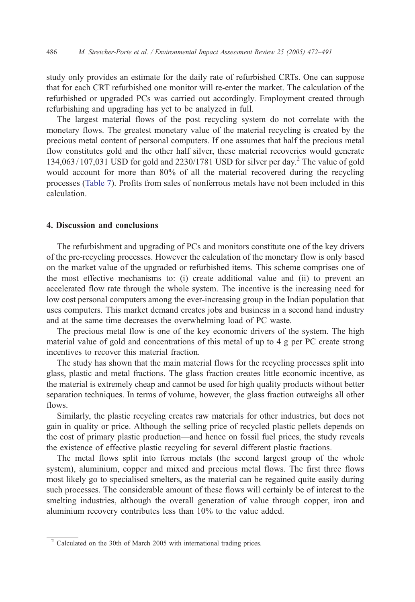study only provides an estimate for the daily rate of refurbished CRTs. One can suppose that for each CRT refurbished one monitor will re-enter the market. The calculation of the refurbished or upgraded PCs was carried out accordingly. Employment created through refurbishing and upgrading has yet to be analyzed in full.

The largest material flows of the post recycling system do not correlate with the monetary flows. The greatest monetary value of the material recycling is created by the precious metal content of personal computers. If one assumes that half the precious metal flow constitutes gold and the other half silver, these material recoveries would generate  $134,063/107,031$  USD for gold and  $2230/1781$  USD for silver per day.<sup>2</sup> The value of gold would account for more than 80% of all the material recovered during the recycling processes [\(Table 7\)](#page-13-0). Profits from sales of nonferrous metals have not been included in this calculation.

# 4. Discussion and conclusions

The refurbishment and upgrading of PCs and monitors constitute one of the key drivers of the pre-recycling processes. However the calculation of the monetary flow is only based on the market value of the upgraded or refurbished items. This scheme comprises one of the most effective mechanisms to: (i) create additional value and (ii) to prevent an accelerated flow rate through the whole system. The incentive is the increasing need for low cost personal computers among the ever-increasing group in the Indian population that uses computers. This market demand creates jobs and business in a second hand industry and at the same time decreases the overwhelming load of PC waste.

The precious metal flow is one of the key economic drivers of the system. The high material value of gold and concentrations of this metal of up to 4 g per PC create strong incentives to recover this material fraction.

The study has shown that the main material flows for the recycling processes split into glass, plastic and metal fractions. The glass fraction creates little economic incentive, as the material is extremely cheap and cannot be used for high quality products without better separation techniques. In terms of volume, however, the glass fraction outweighs all other flows.

Similarly, the plastic recycling creates raw materials for other industries, but does not gain in quality or price. Although the selling price of recycled plastic pellets depends on the cost of primary plastic production—and hence on fossil fuel prices, the study reveals the existence of effective plastic recycling for several different plastic fractions.

The metal flows split into ferrous metals (the second largest group of the whole system), aluminium, copper and mixed and precious metal flows. The first three flows most likely go to specialised smelters, as the material can be regained quite easily during such processes. The considerable amount of these flows will certainly be of interest to the smelting industries, although the overall generation of value through copper, iron and aluminium recovery contributes less than 10% to the value added.

<sup>2</sup> Calculated on the 30th of March 2005 with international trading prices.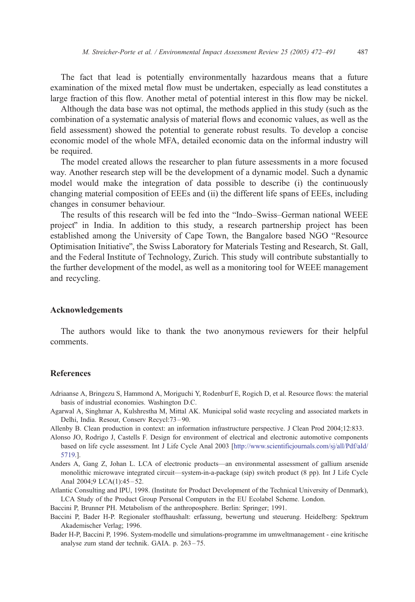<span id="page-15-0"></span>The fact that lead is potentially environmentally hazardous means that a future examination of the mixed metal flow must be undertaken, especially as lead constitutes a large fraction of this flow. Another metal of potential interest in this flow may be nickel.

Although the data base was not optimal, the methods applied in this study (such as the combination of a systematic analysis of material flows and economic values, as well as the field assessment) showed the potential to generate robust results. To develop a concise economic model of the whole MFA, detailed economic data on the informal industry will be required.

The model created allows the researcher to plan future assessments in a more focused way. Another research step will be the development of a dynamic model. Such a dynamic model would make the integration of data possible to describe (i) the continuously changing material composition of EEEs and (ii) the different life spans of EEEs, including changes in consumer behaviour.

The results of this research will be fed into the "Indo–Swiss–German national WEEE project" in India. In addition to this study, a research partnership project has been established among the University of Cape Town, the Bangalore based NGO "Resource Optimisation Initiative", the Swiss Laboratory for Materials Testing and Research, St. Gall, and the Federal Institute of Technology, Zurich. This study will contribute substantially to the further development of the model, as well as a monitoring tool for WEEE management and recycling.

#### Acknowledgements

The authors would like to thank the two anonymous reviewers for their helpful comments.

# References

- Adriaanse A, Bringezu S, Hammond A, Moriguchi Y, Rodenburf E, Rogich D, et al. Resource flows: the material basis of industrial economies. Washington D.C.
- Agarwal A, Singhmar A, Kulshrestha M, Mittal AK. Municipal solid waste recycling and associated markets in Delhi, India. Resour, Conserv Recycl:73 – 90.
- Allenby B. Clean production in context: an information infrastructure perspective. J Clean Prod 2004;12:833.
- Alonso JO, Rodrigo J, Castells F. Design for environment of electrical and electronic automotive components based on life cycle assessment. Int J Life Cycle Anal 2003 [[http://www.scientificjournals.com/sj/all/Pdf/aId/](http://www.scientificjournals.com/sj/all/Pdf/aId/5719) 5719.].
- Anders A, Gang Z, Johan L. LCA of electronic products—an environmental assessment of gallium arsenide monolithic microwave integrated circuit—system-in-a-package (sip) switch product (8 pp). Int J Life Cycle Anal 2004;9 LCA(1):45-52.
- Atlantic Consulting and IPU, 1998. (Institute for Product Development of the Technical University of Denmark), LCA Study of the Product Group Personal Computers in the EU Ecolabel Scheme. London.

Baccini P, Brunner PH. Metabolism of the anthroposphere. Berlin: Springer; 1991.

- Baccini P, Bader H-P. Regionaler stoffhaushalt: erfassung, bewertung und steuerung. Heidelberg: Spektrum Akademischer Verlag; 1996.
- Bader H-P, Baccini P, 1996. System-modelle und simulations-programme im umweltmanagement eine kritische analyse zum stand der technik. GAIA. p. 263 – 75.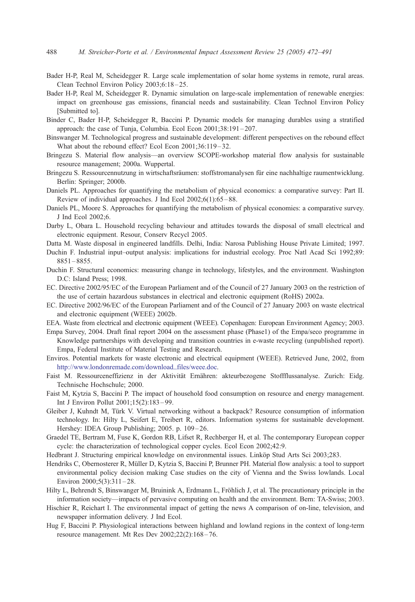- <span id="page-16-0"></span>Bader H-P, Real M, Scheidegger R. Large scale implementation of solar home systems in remote, rural areas. Clean Technol Environ Policy 2003;6:18 – 25.
- Bader H-P, Real M, Scheidegger R. Dynamic simulation on large-scale implementation of renewable energies: impact on greenhouse gas emissions, financial needs and sustainability. Clean Technol Environ Policy [Submitted to].
- Binder C, Bader H-P, Scheidegger R, Baccini P. Dynamic models for managing durables using a stratified approach: the case of Tunja, Columbia. Ecol Econ 2001;38:191 – 207.
- Binswanger M. Technological progress and sustainable development: different perspectives on the rebound effect What about the rebound effect? Ecol Econ 2001;36:119-32.
- Bringezu S. Material flow analysis—an overview SCOPE-workshop material flow analysis for sustainable resource management; 2000a. Wuppertal.
- Bringezu S. Ressourcennutzung in wirtschaftsräumen: stoffstromanalysen für eine nachhaltige raumentwicklung. Berlin: Springer; 2000b.
- Daniels PL. Approaches for quantifying the metabolism of physical economics: a comparative survey: Part II. Review of individual approaches. J Ind Ecol 2002;6(1):65 – 88.
- Daniels PL, Moore S. Approaches for quantifying the metabolism of physical economies: a comparative survey. J Ind Ecol 2002;6.
- Darby L, Obara L. Household recycling behaviour and attitudes towards the disposal of small electrical and electronic equipment. Resour, Conserv Recycl 2005.
- Datta M. Waste disposal in engineered landfills. Delhi, India7 Narosa Publishing House Private Limited; 1997.
- Duchin F. Industrial input–output analysis: implications for industrial ecology. Proc Natl Acad Sci 1992;89: 8851 – 8855.
- Duchin F. Structural economics: measuring change in technology, lifestyles, and the environment. Washington D.C: Island Press; 1998.
- EC. Directive 2002/95/EC of the European Parliament and of the Council of 27 January 2003 on the restriction of the use of certain hazardous substances in electrical and electronic equipment (RoHS) 2002a.
- EC. Directive 2002/96/EC of the European Parliament and of the Council of 27 January 2003 on waste electrical and electronic equipment (WEEE) 2002b.
- EEA. Waste from electrical and electronic equipment (WEEE). Copenhagen: European Environment Agency; 2003.
- Empa Survey, 2004. Draft final report 2004 on the assessment phase (Phase1) of the Empa/seco programme in Knowledge partnerships with developing and transition countries in e-waste recycling (unpublished report). Empa, Federal Institute of Material Testing and Research.
- Enviros. Potential markets for waste electronic and electrical equipment (WEEE). Retrieved June, 2002, from [http://www.londonremade.com/download\\_files/weee.doc.](http://www.londonremade.com/download_files/weee.doc)
- Faist M. Ressourceneffizienz in der Aktivität Ernähren: akteurbezogene Stoffflussanalyse. Zurich: Eidg. Technische Hochschule; 2000.
- Faist M, Kytzia S, Baccini P. The impact of household food consumption on resource and energy management. Int J Environ Pollut 2001;15(2):183 – 99.
- Gleiber J, Kuhndt M, Türk V. Virtual networking without a backpack? Resource consumption of information technology. In: Hilty L, Seifert E, Treibert R, editors. Information systems for sustainable development. Hershey: IDEA Group Publishing; 2005. p. 109-26.
- Graedel TE, Bertram M, Fuse K, Gordon RB, Lifset R, Rechberger H, et al. The contemporary European copper cycle: the characterization of technological copper cycles. Ecol Econ 2002;42:9.
- Hedbrant J. Structuring empirical knowledge on environmental issues. Linkop Stud Arts Sci 2003;283.
- Hendriks C, Obernosterer R, Müller D, Kytzia S, Baccini P, Brunner PH. Material flow analysis: a tool to support environmental policy decision making Case studies on the city of Vienna and the Swiss lowlands. Local Environ  $2000;5(3):311-28$ .
- Hilty L, Behrendt S, Binswanger M, Bruinink A, Erdmann L, Fröhlich J, et al. The precautionary principle in the information society—impacts of pervasive computing on health and the environment. Bern: TA-Swiss; 2003.
- Hischier R, Reichart I. The environmental impact of getting the news A comparison of on-line, television, and newspaper information delivery. J Ind Ecol.
- Hug F, Baccini P. Physiological interactions between highland and lowland regions in the context of long-term resource management. Mt Res Dev 2002;22(2):168 – 76.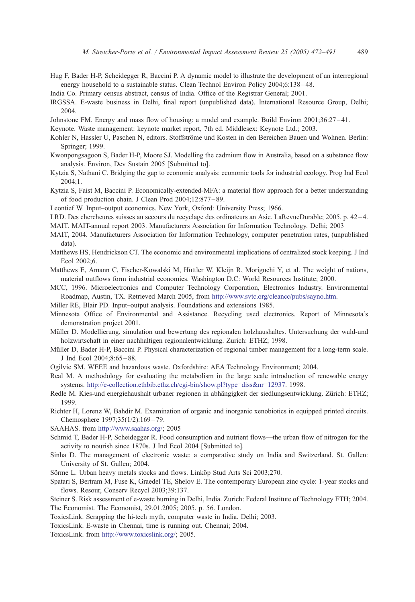<span id="page-17-0"></span>Hug F, Bader H-P, Scheidegger R, Baccini P. A dynamic model to illustrate the development of an interregional energy household to a sustainable status. Clean Technol Environ Policy 2004;6:138-48.

India Co. Primary census abstract, census of India. Office of the Registrar General; 2001.

- IRGSSA. E-waste business in Delhi, final report (unpublished data). International Resource Group, Delhi; 2004.
- Johnstone FM. Energy and mass flow of housing: a model and example. Build Environ 2001;36:27 41.

Keynote. Waste management: keynote market report, 7th ed. Middlesex: Keynote Ltd.; 2003.

- Kohler N, Hassler U, Paschen N, editors. Stoffströme und Kosten in den Bereichen Bauen und Wohnen. Berlin: Springer; 1999.
- Kwonpongsagoon S, Bader H-P, Moore SJ. Modelling the cadmium flow in Australia, based on a substance flow analysis. Environ, Dev Sustain 2005 [Submitted to].
- Kytzia S, Nathani C. Bridging the gap to economic analysis: economic tools for industrial ecology. Prog Ind Ecol 2004;1.
- Kytzia S, Faist M, Baccini P. Economically-extended-MFA: a material flow approach for a better understanding of food production chain. J Clean Prod 2004;12:877 – 89.
- Leontief W. Input–output economics. New York, Oxford: University Press; 1966.
- LRD. Des chercheures suisses au secours du recyclage des ordinateurs an Asie. LaRevueDurable; 2005. p. 42 4.
- MAIT. MAIT-annual report 2003. Manufacturers Association for Information Technology. Delhi; 2003
- MAIT, 2004. Manufacturers Association for Information Technology, computer penetration rates, (unpublished data).
- Matthews HS, Hendrickson CT. The economic and environmental implications of centralized stock keeping. J Ind Ecol 2002;6.
- Matthews E, Amann C, Fischer-Kowalski M, Hüttler W, Kleijn R, Moriguchi Y, et al. The weight of nations, material outflows form industrial economies. Washington D.C7 World Resources Institute; 2000.
- MCC, 1996. Microelectronics and Computer Technology Corporation, Electronics Industry. Environmental Roadmap, Austin, TX. Retrieved March 2005, from [http://www.svtc.org/cleancc/pubs/sayno.htm.](http://www.svtc.org/cleancc/pubs/sayno.htm)
- Miller RE, Blair PD. Input–output analysis. Foundations and extensions 1985.
- Minnesota Office of Environmental and Assistance. Recycling used electronics. Report of Minnesota's demonstration project 2001.
- Müller D. Modellierung, simulation und bewertung des regionalen holzhaushaltes. Untersuchung der wald-und holzwirtschaft in einer nachhaltigen regionalentwicklung. Zurich: ETHZ; 1998.
- Müller D, Bader H-P, Baccini P. Physical characterization of regional timber management for a long-term scale. J Ind Ecol 2004;8:65 – 88.
- Ogilvie SM. WEEE and hazardous waste. Oxfordshire: AEA Technology Environment; 2004.
- Real M. A methodology for evaluating the metabolism in the large scale introduction of renewable energy systems. [http://e-collection.ethbib.ethz.ch/cgi-bin/show.pl?type=diss&nr=12937.](http://e-collection.ethbib.ethz.ch/cgi-bin/show.pl?type=diss&nr=12937) 1998.
- Redle M. Kies-und energiehaushalt urbaner regionen in abhängigkeit der siedlungsentwicklung. Zürich: ETHZ; 1999.
- Richter H, Lorenz W, Bahdir M. Examination of organic and inorganic xenobiotics in equipped printed circuits. Chemosphere 1997;35(1/2):169 – 79.
- SAAHAS. from [http://www.saahas.org/;](http://www.saahas.org/) 2005
- Schmid T, Bader H-P, Scheidegger R. Food consumption and nutrient flows—the urban flow of nitrogen for the activity to nourish since 1870s. J Ind Ecol 2004 [Submitted to].
- Sinha D. The management of electronic waste: a comparative study on India and Switzerland. St. Gallen: University of St. Gallen; 2004.
- Sörme L. Urban heavy metals stocks and flows. Linköp Stud Arts Sci 2003;270.
- Spatari S, Bertram M, Fuse K, Graedel TE, Shelov E. The contemporary European zinc cycle: 1-year stocks and flows. Resour, Conserv Recycl 2003;39:137.
- Steiner S. Risk assessment of e-waste burning in Delhi, India. Zurich: Federal Institute of Technology ETH; 2004. The Economist. The Economist, 29.01.2005; 2005. p. 56. London.
- ToxicsLink. Scrapping the hi-tech myth, computer waste in India. Delhi; 2003.
- ToxicsLink. E-waste in Chennai, time is running out. Chennai; 2004.

ToxicsLink. from [http://www.toxicslink.org/;](http://www.toxicslink.org/) 2005.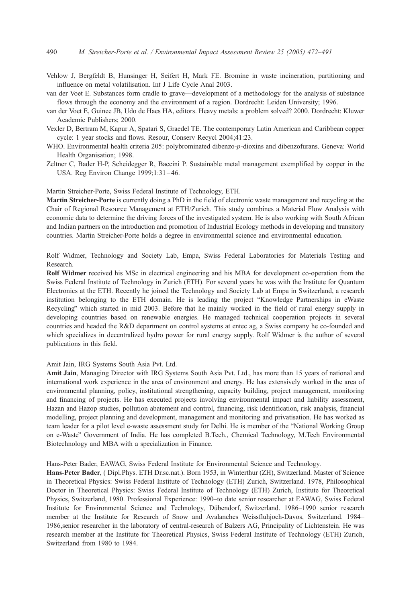- <span id="page-18-0"></span>Vehlow J, Bergfeldt B, Hunsinger H, Seifert H, Mark FE. Bromine in waste incineration, partitioning and influence on metal volatilisation. Int J Life Cycle Anal 2003.
- van der Voet E. Substances form cradle to grave—development of a methodology for the analysis of substance flows through the economy and the environment of a region. Dordrecht: Leiden University; 1996.
- van der Voet E, Guinee JB, Udo de Haes HA, editors. Heavy metals: a problem solved? 2000. Dordrecht: Kluwer Academic Publishers; 2000.
- Vexler D, Bertram M, Kapur A, Spatari S, Graedel TE. The contemporary Latin American and Caribbean copper cycle: 1 year stocks and flows. Resour, Conserv Recycl 2004;41:23.
- WHO. Environmental health criteria 205: polybrominated dibenzo-p-dioxins and dibenzofurans. Geneva: World Health Organisation; 1998.
- Zeltner C, Bader H-P, Scheidegger R, Baccini P. Sustainable metal management exemplified by copper in the USA. Reg Environ Change 1999;1:31 – 46.

Martin Streicher-Porte, Swiss Federal Institute of Technology, ETH.

Martin Streicher-Porte is currently doing a PhD in the field of electronic waste management and recycling at the Chair of Regional Resource Management at ETH/Zurich. This study combines a Material Flow Analysis with economic data to determine the driving forces of the investigated system. He is also working with South African and Indian partners on the introduction and promotion of Industrial Ecology methods in developing and transitory countries. Martin Streicher-Porte holds a degree in environmental science and environmental education.

Rolf Widmer, Technology and Society Lab, Empa, Swiss Federal Laboratories for Materials Testing and Research.

Rolf Widmer received his MSc in electrical engineering and his MBA for development co-operation from the Swiss Federal Institute of Technology in Zurich (ETH). For several years he was with the Institute for Quantum Electronics at the ETH. Recently he joined the Technology and Society Lab at Empa in Switzerland, a research institution belonging to the ETH domain. He is leading the project "Knowledge Partnerships in eWaste Recycling" which started in mid 2003. Before that he mainly worked in the field of rural energy supply in developing countries based on renewable energies. He managed technical cooperation projects in several countries and headed the R&D department on control systems at entec ag, a Swiss company he co-founded and which specializes in decentralized hydro power for rural energy supply. Rolf Widmer is the author of several publications in this field.

Amit Jain, IRG Systems South Asia Pvt. Ltd.

Amit Jain, Managing Director with IRG Systems South Asia Pvt. Ltd., has more than 15 years of national and international work experience in the area of environment and energy. He has extensively worked in the area of environmental planning, policy, institutional strengthening, capacity building, project management, monitoring and financing of projects. He has executed projects involving environmental impact and liability assessment, Hazan and Hazop studies, pollution abatement and control, financing, risk identification, risk analysis, financial modelling, project planning and development, management and monitoring and privatisation. He has worked as team leader for a pilot level e-waste assessment study for Delhi. He is member of the "National Working Group" on e-Waste" Government of India. He has completed B.Tech., Chemical Technology, M.Tech Environmental Biotechnology and MBA with a specialization in Finance.

#### Hans-Peter Bader, EAWAG, Swiss Federal Institute for Environmental Science and Technology.

Hans-Peter Bader, ( Dipl.Phys. ETH Dr.sc.nat.). Born 1953, in Winterthur (ZH), Switzerland. Master of Science in Theoretical Physics: Swiss Federal Institute of Technology (ETH) Zurich, Switzerland. 1978, Philosophical Doctor in Theoretical Physics: Swiss Federal Institute of Technology (ETH) Zurich, Institute for Theoretical Physics, Switzerland, 1980. Professional Experience: 1990–to date senior researcher at EAWAG, Swiss Federal Institute for Environmental Science and Technology, Dübendorf, Switzerland. 1986–1990 senior research member at the Institute for Research of Snow and Avalanches Weissfluhjoch-Davos, Switzerland. 1984– 1986,senior researcher in the laboratory of central-research of Balzers AG, Principality of Lichtenstein. He was research member at the Institute for Theoretical Physics, Swiss Federal Institute of Technology (ETH) Zurich, Switzerland from 1980 to 1984.